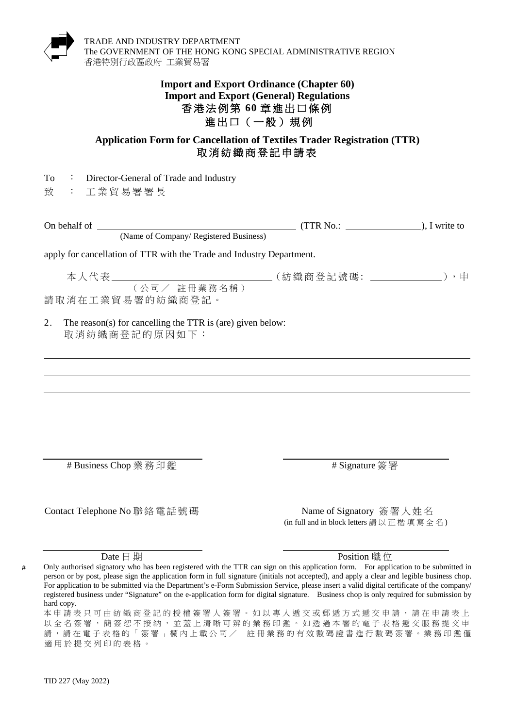

## **Import and Export Ordinance (Chapter 60) Import and Export (General) Regulations** 香港法例第 **60** 章進出口條例 進出口(一般)規例

## **Application Form for Cancellation of Textiles Trader Registration (TTR)** 取消紡織商登記 申請表

致 : 工業貿易署署長

(Name of Company/ Registered Business)

On behalf of (TTR No.: ), I write to

apply for cancellation of TTR with the Trade and Industry Department.

本人代表 (紡織商登記號碼 : ),申 (公司/ 註冊業務名稱)

請取消在工業貿易署的紡織商登記。

2. The reason(s) for cancelling the TTR is (are) given below: 取消紡織商登記的原因如下:

# Business Chop 業務印鑑 # 8ignature 簽 署

Contact Telephone No 聯絡電話號碼 Name of Signatory 簽署人姓名

(in full and in block letters 請 以 正 楷 填 寫 全 名)

Date 日期 **Position 職** 你

 Only authorised signatory who has been registered with the TTR can sign on this application form. For application to be submitted in registered business under "Signature" on the e-application form for digital signature. Business chop is only required for submission by hard copy.person or by post, please sign the application form in full signature (initials not accepted), and apply a clear and legible business chop. For application to be submitted via the Department's e-Form Submission Service, please insert a valid digital certificate of the company/

本申請表只可由紡織商登記的授權簽署人簽署。如以專人遞交或郵遞方式遞交申請,請在申請表上 以全名簽署,簡簽恕不接納,並蓋上清晰可辨的業務印鑑。如透過本署的電子表格遞交服務提交申 請,請在電子表格的「簽署」欄內上載公司/ 註冊業務的有效數碼證書進行數碼簽署。業務印鑑僅 適用於提交列印的表格。

#